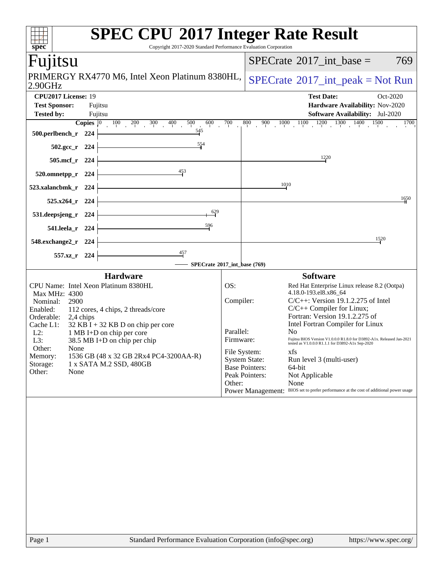| <b>SPEC CPU®2017 Integer Rate Result</b><br>Copyright 2017-2020 Standard Performance Evaluation Corporation<br>spec <sup>®</sup> |                          |                                                                                        |
|----------------------------------------------------------------------------------------------------------------------------------|--------------------------|----------------------------------------------------------------------------------------|
| Fujitsu                                                                                                                          |                          | $SPECTate$ <sup>®</sup> 2017_int_base =<br>769                                         |
| PRIMERGY RX4770 M6, Intel Xeon Platinum 8380HL,<br>2.90GHz                                                                       |                          | $SPECrate^{\circledcirc}2017\_int\_peak = Not Run$                                     |
| CPU2017 License: 19                                                                                                              |                          | <b>Test Date:</b><br>Oct-2020                                                          |
| <b>Test Sponsor:</b><br>Fujitsu                                                                                                  |                          | Hardware Availability: Nov-2020                                                        |
| <b>Tested by:</b><br>Fujitsu                                                                                                     |                          | <b>Software Availability:</b> Jul-2020                                                 |
| <b>Copies</b> $\begin{bmatrix} 0 & 100 & 200 & 300 & 400 \end{bmatrix}$<br>500<br>600                                            | 700                      | $1000$ $1100$ $1200$ $1300$ $1400$ $1500$<br>800<br>900<br>1700                        |
| $\frac{545}{7}$<br>500.perlbench_r 224                                                                                           |                          |                                                                                        |
| $\frac{554}{5}$<br>$502.\text{gcc}_r$ 224                                                                                        |                          |                                                                                        |
| 505.mcf_r 224                                                                                                                    |                          | 12,20                                                                                  |
| 453<br>520.omnetpp_r 224                                                                                                         |                          |                                                                                        |
| 523.xalancbmk_r<br>- 224                                                                                                         |                          | 10,10                                                                                  |
| $525.x264$ r<br>224                                                                                                              |                          | 1650                                                                                   |
| $\frac{629}{5}$<br>531.deepsjeng_r<br>224                                                                                        |                          |                                                                                        |
| 596<br>541.leela_r 224                                                                                                           |                          |                                                                                        |
| 548.exchange2_r 224                                                                                                              |                          | 1520                                                                                   |
| 457<br>557.xz_r 224<br>SPECrate®2017_int_base (769)                                                                              |                          |                                                                                        |
| <b>Hardware</b>                                                                                                                  |                          | <b>Software</b>                                                                        |
| CPU Name: Intel Xeon Platinum 8380HL                                                                                             | OS:                      | Red Hat Enterprise Linux release 8.2 (Ootpa)                                           |
| Max MHz: 4300                                                                                                                    |                          | 4.18.0-193.el8.x86_64                                                                  |
| Nominal:<br>2900                                                                                                                 | Compiler:                | $C/C++$ : Version 19.1.2.275 of Intel                                                  |
| Enabled:<br>112 cores, 4 chips, 2 threads/core                                                                                   |                          | $C/C++$ Compiler for Linux;                                                            |
| Orderable:<br>2,4 chips                                                                                                          |                          | Fortran: Version 19.1.2.275 of                                                         |
| Cache L1:<br>$32$ KB I + 32 KB D on chip per core                                                                                |                          | Intel Fortran Compiler for Linux                                                       |
| $L2$ :<br>1 MB I+D on chip per core                                                                                              | Parallel:<br>Firmware:   | No<br>Fujitsu BIOS Version V1.0.0.0 R1.8.0 for D3892-A1x. Released Jan-2021            |
| 38.5 MB I+D on chip per chip<br>$L3$ :                                                                                           |                          | tested as V1.0.0.0 R1.1.1 for D3892-A1x Sep-2020                                       |
| Other:<br>None<br>1536 GB (48 x 32 GB 2Rx4 PC4-3200AA-R)<br>Memory:                                                              | File System:             | xfs                                                                                    |
| Storage:<br>1 x SATA M.2 SSD, 480GB                                                                                              | <b>System State:</b>     | Run level 3 (multi-user)                                                               |
| Other:<br>None                                                                                                                   | <b>Base Pointers:</b>    | 64-bit                                                                                 |
|                                                                                                                                  | Peak Pointers:<br>Other: | Not Applicable<br>None                                                                 |
|                                                                                                                                  |                          | Power Management: BIOS set to prefer performance at the cost of additional power usage |
|                                                                                                                                  |                          |                                                                                        |
|                                                                                                                                  |                          |                                                                                        |
|                                                                                                                                  |                          |                                                                                        |
|                                                                                                                                  |                          |                                                                                        |
|                                                                                                                                  |                          |                                                                                        |
|                                                                                                                                  |                          |                                                                                        |
|                                                                                                                                  |                          |                                                                                        |
|                                                                                                                                  |                          |                                                                                        |
|                                                                                                                                  |                          |                                                                                        |
|                                                                                                                                  |                          |                                                                                        |
|                                                                                                                                  |                          |                                                                                        |
|                                                                                                                                  |                          |                                                                                        |
|                                                                                                                                  |                          |                                                                                        |
|                                                                                                                                  |                          |                                                                                        |
|                                                                                                                                  |                          |                                                                                        |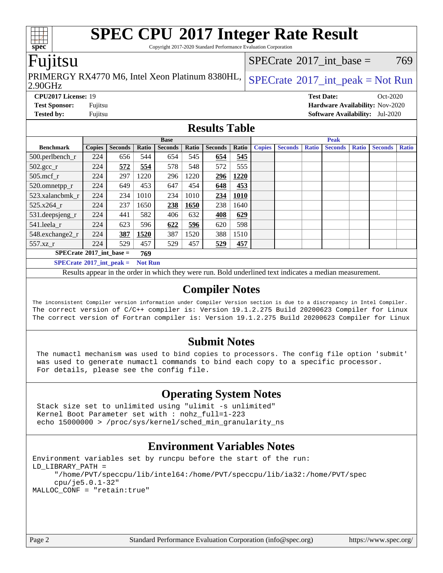### **[SPEC CPU](http://www.spec.org/auto/cpu2017/Docs/result-fields.html#SPECCPU2017IntegerRateResult)[2017 Integer Rate Result](http://www.spec.org/auto/cpu2017/Docs/result-fields.html#SPECCPU2017IntegerRateResult)** Copyright 2017-2020 Standard Performance Evaluation Corporation [SPECrate](http://www.spec.org/auto/cpu2017/Docs/result-fields.html#SPECrate2017intbase)<sup>®</sup>2017 int base =  $769$

Fujitsu

**[spec](http://www.spec.org/)**

2.90GHz PRIMERGY RX4770 M6, Intel Xeon Platinum 8380HL,  $SPECrate^{\circ}2017\_int\_peak = Not Run$  $SPECrate^{\circ}2017\_int\_peak = Not Run$ 

### **[CPU2017 License:](http://www.spec.org/auto/cpu2017/Docs/result-fields.html#CPU2017License)** 19 **[Test Date:](http://www.spec.org/auto/cpu2017/Docs/result-fields.html#TestDate)** Oct-2020 **[Test Sponsor:](http://www.spec.org/auto/cpu2017/Docs/result-fields.html#TestSponsor)** Fujitsu **[Hardware Availability:](http://www.spec.org/auto/cpu2017/Docs/result-fields.html#HardwareAvailability)** Nov-2020 **[Tested by:](http://www.spec.org/auto/cpu2017/Docs/result-fields.html#Testedby)** Fujitsu **[Software Availability:](http://www.spec.org/auto/cpu2017/Docs/result-fields.html#SoftwareAvailability)** Jul-2020

### **[Results Table](http://www.spec.org/auto/cpu2017/Docs/result-fields.html#ResultsTable)**

|                                   | <b>Base</b>   |                |                |                |       |                | <b>Peak</b> |               |                |              |                |              |                |              |
|-----------------------------------|---------------|----------------|----------------|----------------|-------|----------------|-------------|---------------|----------------|--------------|----------------|--------------|----------------|--------------|
| <b>Benchmark</b>                  | <b>Copies</b> | <b>Seconds</b> | Ratio          | <b>Seconds</b> | Ratio | <b>Seconds</b> | Ratio       | <b>Copies</b> | <b>Seconds</b> | <b>Ratio</b> | <b>Seconds</b> | <b>Ratio</b> | <b>Seconds</b> | <b>Ratio</b> |
| $500.$ perlbench_r                | 224           | 656            | 544            | 654            | 545   | 654            | 545         |               |                |              |                |              |                |              |
| $502.\text{gcc}_r$                | 224           | 572            | 554            | 578            | 548   | 572            | 555         |               |                |              |                |              |                |              |
| $505$ .mcf_r                      | 224           | 297            | 1220           | 296            | 1220  | 296            | 1220        |               |                |              |                |              |                |              |
| 520.omnetpp_r                     | 224           | 649            | 453            | 647            | 454   | 648            | 453         |               |                |              |                |              |                |              |
| 523.xalancbmk r                   | 224           | 234            | 1010           | 234            | 1010  | 234            | 1010        |               |                |              |                |              |                |              |
| 525.x264 r                        | 224           | 237            | 1650           | 238            | 1650  | 238            | 1640        |               |                |              |                |              |                |              |
| 531.deepsjeng_r                   | 224           | 441            | 582            | 406            | 632   | 408            | 629         |               |                |              |                |              |                |              |
| 541.leela r                       | 224           | 623            | 596            | 622            | 596   | 620            | 598         |               |                |              |                |              |                |              |
| 548.exchange2_r                   | 224           | 387            | 1520           | 387            | 1520  | 388            | 1510        |               |                |              |                |              |                |              |
| 557.xz r                          | 224           | 529            | 457            | 529            | 457   | 529            | 457         |               |                |              |                |              |                |              |
| $SPECrate^{\circ}2017$ int base = |               |                | 769            |                |       |                |             |               |                |              |                |              |                |              |
| $SPECrate^{\circ}2017$ int peak = |               |                | <b>Not Run</b> |                |       |                |             |               |                |              |                |              |                |              |

Results appear in the [order in which they were run](http://www.spec.org/auto/cpu2017/Docs/result-fields.html#RunOrder). Bold underlined text [indicates a median measurement](http://www.spec.org/auto/cpu2017/Docs/result-fields.html#Median).

### **[Compiler Notes](http://www.spec.org/auto/cpu2017/Docs/result-fields.html#CompilerNotes)**

The inconsistent Compiler version information under Compiler Version section is due to a discrepancy in Intel Compiler. The correct version of C/C++ compiler is: Version 19.1.2.275 Build 20200623 Compiler for Linux The correct version of Fortran compiler is: Version 19.1.2.275 Build 20200623 Compiler for Linux

### **[Submit Notes](http://www.spec.org/auto/cpu2017/Docs/result-fields.html#SubmitNotes)**

 The numactl mechanism was used to bind copies to processors. The config file option 'submit' was used to generate numactl commands to bind each copy to a specific processor. For details, please see the config file.

### **[Operating System Notes](http://www.spec.org/auto/cpu2017/Docs/result-fields.html#OperatingSystemNotes)**

 Stack size set to unlimited using "ulimit -s unlimited" Kernel Boot Parameter set with : nohz\_full=1-223 echo 15000000 > /proc/sys/kernel/sched\_min\_granularity\_ns

### **[Environment Variables Notes](http://www.spec.org/auto/cpu2017/Docs/result-fields.html#EnvironmentVariablesNotes)**

```
Environment variables set by runcpu before the start of the run:
LD_LIBRARY_PATH =
      "/home/PVT/speccpu/lib/intel64:/home/PVT/speccpu/lib/ia32:/home/PVT/spec
      cpu/je5.0.1-32"
MALLOC_CONF = "retain:true"
```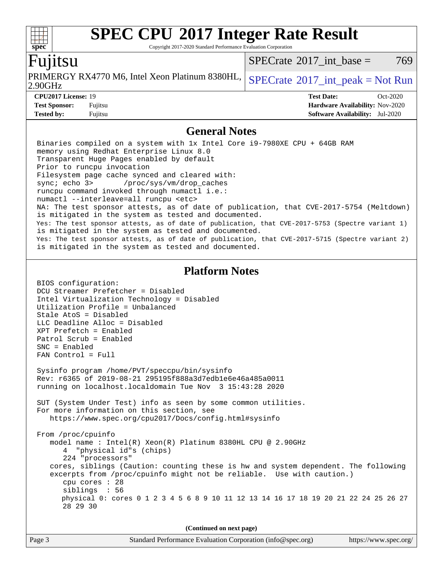Copyright 2017-2020 Standard Performance Evaluation Corporation

### untsu

**[spec](http://www.spec.org/)**

 $SPECTate^{\circledcirc}2017$  int base = 769

| $\mu$ KIMERGY RX4770 M6, Intel Xeon Platinum 8380HL, $ $ SPECrate <sup>®</sup> 2017_int_peak = Not Rum<br>2.90GHz |                   |            |
|-------------------------------------------------------------------------------------------------------------------|-------------------|------------|
| <b>CPU2017 License: 19</b>                                                                                        | <b>Test Date:</b> | $Oct-2020$ |

### **[General Notes](http://www.spec.org/auto/cpu2017/Docs/result-fields.html#GeneralNotes)**

**[Test Sponsor:](http://www.spec.org/auto/cpu2017/Docs/result-fields.html#TestSponsor)** Fujitsu **[Hardware Availability:](http://www.spec.org/auto/cpu2017/Docs/result-fields.html#HardwareAvailability)** Nov-2020 **[Tested by:](http://www.spec.org/auto/cpu2017/Docs/result-fields.html#Testedby)** Fujitsu **[Software Availability:](http://www.spec.org/auto/cpu2017/Docs/result-fields.html#SoftwareAvailability)** Jul-2020

 Binaries compiled on a system with 1x Intel Core i9-7980XE CPU + 64GB RAM memory using Redhat Enterprise Linux 8.0 Transparent Huge Pages enabled by default Prior to runcpu invocation Filesystem page cache synced and cleared with: sync; echo 3> /proc/sys/vm/drop\_caches runcpu command invoked through numactl i.e.: numactl --interleave=all runcpu <etc> NA: The test sponsor attests, as of date of publication, that CVE-2017-5754 (Meltdown) is mitigated in the system as tested and documented. Yes: The test sponsor attests, as of date of publication, that CVE-2017-5753 (Spectre variant 1) is mitigated in the system as tested and documented. Yes: The test sponsor attests, as of date of publication, that CVE-2017-5715 (Spectre variant 2) is mitigated in the system as tested and documented. **[Platform Notes](http://www.spec.org/auto/cpu2017/Docs/result-fields.html#PlatformNotes)** BIOS configuration: DCU Streamer Prefetcher = Disabled Intel Virtualization Technology = Disabled Utilization Profile = Unbalanced Stale AtoS = Disabled LLC Deadline Alloc = Disabled XPT Prefetch = Enabled Patrol Scrub = Enabled

 SNC = Enabled FAN Control = Full Sysinfo program /home/PVT/speccpu/bin/sysinfo Rev: r6365 of 2019-08-21 295195f888a3d7edb1e6e46a485a0011 running on localhost.localdomain Tue Nov 3 15:43:28 2020

 SUT (System Under Test) info as seen by some common utilities. For more information on this section, see <https://www.spec.org/cpu2017/Docs/config.html#sysinfo>

 From /proc/cpuinfo model name : Intel(R) Xeon(R) Platinum 8380HL CPU @ 2.90GHz 4 "physical id"s (chips) 224 "processors" cores, siblings (Caution: counting these is hw and system dependent. The following excerpts from /proc/cpuinfo might not be reliable. Use with caution.) cpu cores : 28 siblings : 56 physical 0: cores 0 1 2 3 4 5 6 8 9 10 11 12 13 14 16 17 18 19 20 21 22 24 25 26 27 28 29 30

**(Continued on next page)**

| Page 2 | Standard Performance Evaluation Corporation (info@spec.org) | https://www.spec.org/ |
|--------|-------------------------------------------------------------|-----------------------|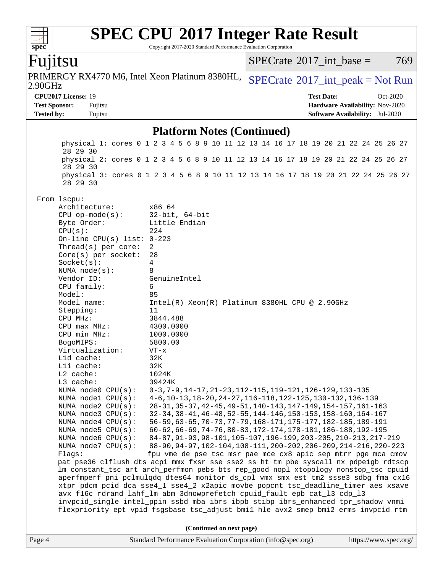Copyright 2017-2020 Standard Performance Evaluation Corporation

## Fujitsu

**[spec](http://www.spec.org/)**

 $\pm\pm\tau$ 

2.90GHz PRIMERGY RX4770 M6, Intel Xeon Platinum 8380HL,  $SPECrate^{\circ}2017$  $SPECrate^{\circ}2017$  int peak = Not Run

[SPECrate](http://www.spec.org/auto/cpu2017/Docs/result-fields.html#SPECrate2017intbase)<sup>®</sup>2017 int base = 769

**[CPU2017 License:](http://www.spec.org/auto/cpu2017/Docs/result-fields.html#CPU2017License)** 19 **[Test Date:](http://www.spec.org/auto/cpu2017/Docs/result-fields.html#TestDate)** Oct-2020 **[Test Sponsor:](http://www.spec.org/auto/cpu2017/Docs/result-fields.html#TestSponsor)** Fujitsu **[Hardware Availability:](http://www.spec.org/auto/cpu2017/Docs/result-fields.html#HardwareAvailability)** Nov-2020 **[Tested by:](http://www.spec.org/auto/cpu2017/Docs/result-fields.html#Testedby)** Fujitsu **[Software Availability:](http://www.spec.org/auto/cpu2017/Docs/result-fields.html#SoftwareAvailability)** Jul-2020

### **[Platform Notes \(Continued\)](http://www.spec.org/auto/cpu2017/Docs/result-fields.html#PlatformNotes)**

Page 4 Standard Performance Evaluation Corporation [\(info@spec.org\)](mailto:info@spec.org) <https://www.spec.org/> physical 1: cores 0 1 2 3 4 5 6 8 9 10 11 12 13 14 16 17 18 19 20 21 22 24 25 26 27 28 29 30 physical 2: cores 0 1 2 3 4 5 6 8 9 10 11 12 13 14 16 17 18 19 20 21 22 24 25 26 27 28 29 30 physical 3: cores 0 1 2 3 4 5 6 8 9 10 11 12 13 14 16 17 18 19 20 21 22 24 25 26 27 28 29 30 From lscpu: Architecture: x86\_64 CPU op-mode(s): 32-bit, 64-bit Byte Order: Little Endian  $CPU(s):$  224 On-line CPU(s) list: 0-223 Thread(s) per core: 2 Core(s) per socket: 28 Socket(s): 4 NUMA node(s): 8 Vendor ID: GenuineIntel CPU family: 6 Model: 85 Model name: Intel(R) Xeon(R) Platinum 8380HL CPU @ 2.90GHz Stepping: 11 CPU MHz: 3844.488 CPU max MHz: 4300.0000 CPU min MHz: 1000.0000 BogoMIPS: 5800.00 Virtualization: VT-x L1d cache: 32K L1i cache: 32K L2 cache: 1024K L3 cache: 39424K NUMA node0 CPU(s): 0-3,7-9,14-17,21-23,112-115,119-121,126-129,133-135 NUMA node1 CPU(s): 4-6,10-13,18-20,24-27,116-118,122-125,130-132,136-139 NUMA node2 CPU(s): 28-31,35-37,42-45,49-51,140-143,147-149,154-157,161-163 NUMA node3 CPU(s): 32-34,38-41,46-48,52-55,144-146,150-153,158-160,164-167 NUMA node4 CPU(s): 56-59,63-65,70-73,77-79,168-171,175-177,182-185,189-191 NUMA node5 CPU(s): 60-62,66-69,74-76,80-83,172-174,178-181,186-188,192-195 NUMA node6 CPU(s): 84-87,91-93,98-101,105-107,196-199,203-205,210-213,217-219 NUMA node7 CPU(s): 88-90,94-97,102-104,108-111,200-202,206-209,214-216,220-223 Flags: fpu vme de pse tsc msr pae mce cx8 apic sep mtrr pge mca cmov pat pse36 clflush dts acpi mmx fxsr sse sse2 ss ht tm pbe syscall nx pdpe1gb rdtscp lm constant\_tsc art arch\_perfmon pebs bts rep\_good nopl xtopology nonstop\_tsc cpuid aperfmperf pni pclmulqdq dtes64 monitor ds\_cpl vmx smx est tm2 ssse3 sdbg fma cx16 xtpr pdcm pcid dca sse4\_1 sse4\_2 x2apic movbe popcnt tsc\_deadline\_timer aes xsave avx f16c rdrand lahf\_lm abm 3dnowprefetch cpuid\_fault epb cat\_l3 cdp\_l3 invpcid\_single intel\_ppin ssbd mba ibrs ibpb stibp ibrs\_enhanced tpr\_shadow vnmi flexpriority ept vpid fsgsbase tsc\_adjust bmi1 hle avx2 smep bmi2 erms invpcid rtm **(Continued on next page)**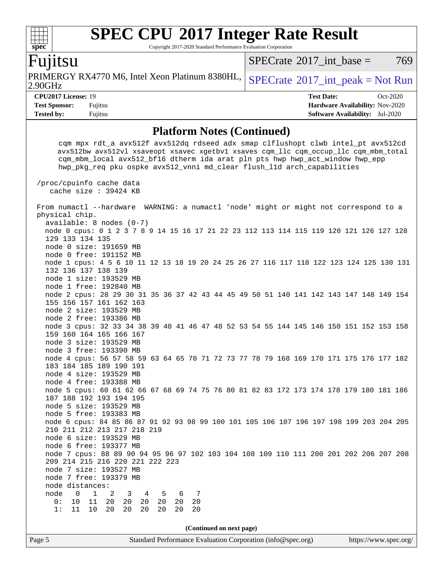Copyright 2017-2020 Standard Performance Evaluation Corporation

### Fujitsu

**[spec](http://www.spec.org/)**

 $+\ +$ 

2.90GHz PRIMERGY RX4770 M6, Intel Xeon Platinum 8380HL,  $SPECrate^{\circ}2017$  $SPECrate^{\circ}2017$  int peak = Not Run

[SPECrate](http://www.spec.org/auto/cpu2017/Docs/result-fields.html#SPECrate2017intbase)<sup>®</sup>2017 int base =  $769$ 

**[CPU2017 License:](http://www.spec.org/auto/cpu2017/Docs/result-fields.html#CPU2017License)** 19 **[Test Date:](http://www.spec.org/auto/cpu2017/Docs/result-fields.html#TestDate)** Oct-2020 **[Test Sponsor:](http://www.spec.org/auto/cpu2017/Docs/result-fields.html#TestSponsor)** Fujitsu **[Hardware Availability:](http://www.spec.org/auto/cpu2017/Docs/result-fields.html#HardwareAvailability)** Nov-2020 **[Tested by:](http://www.spec.org/auto/cpu2017/Docs/result-fields.html#Testedby)** Fujitsu **[Software Availability:](http://www.spec.org/auto/cpu2017/Docs/result-fields.html#SoftwareAvailability)** Jul-2020

### **[Platform Notes \(Continued\)](http://www.spec.org/auto/cpu2017/Docs/result-fields.html#PlatformNotes)**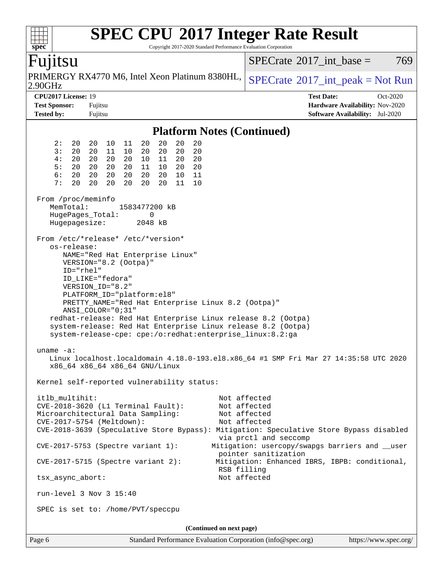| spec <sup>®</sup>                                                                                                |                                                                                                                      |          |                      |          |          | <b>SPEC CPU®2017 Integer Rate Result</b><br>Copyright 2017-2020 Standard Performance Evaluation Corporation |              |                                                   |                   |                                 |          |     |
|------------------------------------------------------------------------------------------------------------------|----------------------------------------------------------------------------------------------------------------------|----------|----------------------|----------|----------|-------------------------------------------------------------------------------------------------------------|--------------|---------------------------------------------------|-------------------|---------------------------------|----------|-----|
| Fujitsu                                                                                                          |                                                                                                                      |          |                      |          |          |                                                                                                             |              | $SPECrate^{\circledast}2017$ int base =           |                   |                                 |          | 769 |
| PRIMERGY RX4770 M6, Intel Xeon Platinum 8380HL,<br>2.90GHz                                                       |                                                                                                                      |          |                      |          |          |                                                                                                             |              | $SPECrate^{\circledast}2017\_int\_peak = Not Run$ |                   |                                 |          |     |
| CPU2017 License: 19                                                                                              |                                                                                                                      |          |                      |          |          |                                                                                                             |              |                                                   | <b>Test Date:</b> |                                 | Oct-2020 |     |
| <b>Test Sponsor:</b>                                                                                             | Fujitsu                                                                                                              |          |                      |          |          |                                                                                                             |              |                                                   |                   | Hardware Availability: Nov-2020 |          |     |
| <b>Tested by:</b>                                                                                                | Fujitsu                                                                                                              |          |                      |          |          |                                                                                                             |              |                                                   |                   | Software Availability: Jul-2020 |          |     |
|                                                                                                                  |                                                                                                                      |          |                      |          |          | <b>Platform Notes (Continued)</b>                                                                           |              |                                                   |                   |                                 |          |     |
| 2:<br>20                                                                                                         | 20<br>10                                                                                                             | 11       | 20<br>20             | 20       | 20       |                                                                                                             |              |                                                   |                   |                                 |          |     |
| 3:<br>20                                                                                                         | 20<br>11                                                                                                             | 10       | 20<br>20             | 20       | 20       |                                                                                                             |              |                                                   |                   |                                 |          |     |
| 4:<br>20                                                                                                         | 20<br>20                                                                                                             | 20       | 10<br>11             | 20       | 20       |                                                                                                             |              |                                                   |                   |                                 |          |     |
| 5:<br>20                                                                                                         | 20<br>20                                                                                                             | 20       | 11<br>10             | 20       | 20       |                                                                                                             |              |                                                   |                   |                                 |          |     |
| 6:<br>20<br>7:<br>20                                                                                             | 20<br>20<br>20<br>20                                                                                                 | 20<br>20 | 20<br>20<br>20<br>20 | 10<br>11 | 11<br>10 |                                                                                                             |              |                                                   |                   |                                 |          |     |
|                                                                                                                  |                                                                                                                      |          |                      |          |          |                                                                                                             |              |                                                   |                   |                                 |          |     |
| From /proc/meminfo<br>MemTotal:                                                                                  |                                                                                                                      |          | 1583477200 kB        |          |          |                                                                                                             |              |                                                   |                   |                                 |          |     |
| HugePages_Total:                                                                                                 |                                                                                                                      |          | 0                    |          |          |                                                                                                             |              |                                                   |                   |                                 |          |     |
| Hugepagesize:                                                                                                    |                                                                                                                      |          | 2048 kB              |          |          |                                                                                                             |              |                                                   |                   |                                 |          |     |
| From /etc/*release* /etc/*version*                                                                               |                                                                                                                      |          |                      |          |          |                                                                                                             |              |                                                   |                   |                                 |          |     |
| os-release:                                                                                                      |                                                                                                                      |          |                      |          |          |                                                                                                             |              |                                                   |                   |                                 |          |     |
|                                                                                                                  | NAME="Red Hat Enterprise Linux"                                                                                      |          |                      |          |          |                                                                                                             |              |                                                   |                   |                                 |          |     |
|                                                                                                                  | VERSION="8.2 (Ootpa)"                                                                                                |          |                      |          |          |                                                                                                             |              |                                                   |                   |                                 |          |     |
| ID="rhel"                                                                                                        |                                                                                                                      |          |                      |          |          |                                                                                                             |              |                                                   |                   |                                 |          |     |
|                                                                                                                  | ID LIKE="fedora"                                                                                                     |          |                      |          |          |                                                                                                             |              |                                                   |                   |                                 |          |     |
| VERSION_ID="8.2"                                                                                                 |                                                                                                                      |          |                      |          |          |                                                                                                             |              |                                                   |                   |                                 |          |     |
| PLATFORM_ID="platform:el8"                                                                                       |                                                                                                                      |          |                      |          |          |                                                                                                             |              |                                                   |                   |                                 |          |     |
|                                                                                                                  |                                                                                                                      |          |                      |          |          | PRETTY_NAME="Red Hat Enterprise Linux 8.2 (Ootpa)"                                                          |              |                                                   |                   |                                 |          |     |
|                                                                                                                  | ANSI_COLOR="0;31"                                                                                                    |          |                      |          |          |                                                                                                             |              |                                                   |                   |                                 |          |     |
|                                                                                                                  |                                                                                                                      |          |                      |          |          | redhat-release: Red Hat Enterprise Linux release 8.2 (Ootpa)                                                |              |                                                   |                   |                                 |          |     |
|                                                                                                                  |                                                                                                                      |          |                      |          |          | system-release: Red Hat Enterprise Linux release 8.2 (Ootpa)                                                |              |                                                   |                   |                                 |          |     |
|                                                                                                                  |                                                                                                                      |          |                      |          |          | system-release-cpe: cpe:/o:redhat:enterprise_linux:8.2:ga                                                   |              |                                                   |                   |                                 |          |     |
| uname $-a$ :                                                                                                     |                                                                                                                      |          |                      |          |          |                                                                                                             |              |                                                   |                   |                                 |          |     |
| Linux localhost.localdomain 4.18.0-193.el8.x86_64 #1 SMP Fri Mar 27 14:35:58 UTC 2020                            |                                                                                                                      |          |                      |          |          |                                                                                                             |              |                                                   |                   |                                 |          |     |
| x86_64 x86_64 x86_64 GNU/Linux                                                                                   |                                                                                                                      |          |                      |          |          |                                                                                                             |              |                                                   |                   |                                 |          |     |
| Kernel self-reported vulnerability status:                                                                       |                                                                                                                      |          |                      |          |          |                                                                                                             |              |                                                   |                   |                                 |          |     |
| itlb_multihit:                                                                                                   |                                                                                                                      |          |                      |          |          |                                                                                                             | Not affected |                                                   |                   |                                 |          |     |
| CVE-2018-3620 (L1 Terminal Fault):                                                                               |                                                                                                                      |          |                      |          |          |                                                                                                             | Not affected |                                                   |                   |                                 |          |     |
|                                                                                                                  |                                                                                                                      |          |                      |          |          |                                                                                                             | Not affected |                                                   |                   |                                 |          |     |
|                                                                                                                  | Microarchitectural Data Sampling:<br>CVE-2017-5754 (Meltdown):<br>Not affected                                       |          |                      |          |          |                                                                                                             |              |                                                   |                   |                                 |          |     |
| CVE-2018-3639 (Speculative Store Bypass): Mitigation: Speculative Store Bypass disabled<br>via prctl and seccomp |                                                                                                                      |          |                      |          |          |                                                                                                             |              |                                                   |                   |                                 |          |     |
|                                                                                                                  | Mitigation: usercopy/swapgs barriers and __user<br>$CVE-2017-5753$ (Spectre variant 1):<br>pointer sanitization      |          |                      |          |          |                                                                                                             |              |                                                   |                   |                                 |          |     |
|                                                                                                                  | $CVE-2017-5715$ (Spectre variant 2):<br>Mitigation: Enhanced IBRS, IBPB: conditional,<br>RSB filling<br>Not affected |          |                      |          |          |                                                                                                             |              |                                                   |                   |                                 |          |     |
| tsx_async_abort:                                                                                                 |                                                                                                                      |          |                      |          |          |                                                                                                             |              |                                                   |                   |                                 |          |     |
| run-level 3 Nov 3 15:40                                                                                          |                                                                                                                      |          |                      |          |          |                                                                                                             |              |                                                   |                   |                                 |          |     |
| SPEC is set to: /home/PVT/speccpu                                                                                |                                                                                                                      |          |                      |          |          |                                                                                                             |              |                                                   |                   |                                 |          |     |
|                                                                                                                  |                                                                                                                      |          |                      |          |          | (Continued on next page)                                                                                    |              |                                                   |                   |                                 |          |     |
| Page 6                                                                                                           |                                                                                                                      |          |                      |          |          | Standard Performance Evaluation Corporation (info@spec.org)                                                 |              |                                                   |                   | https://www.spec.org/           |          |     |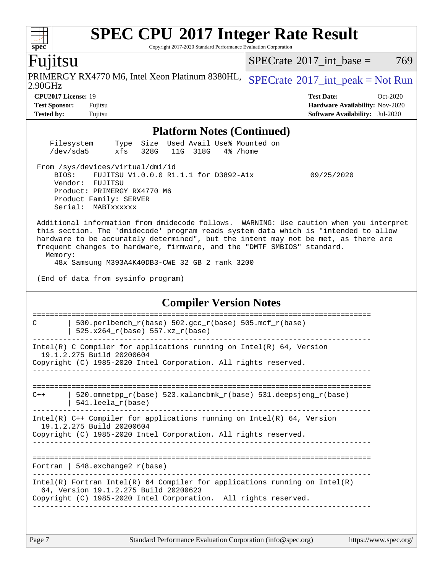Copyright 2017-2020 Standard Performance Evaluation Corporation

## Fujitsu

**[spec](http://www.spec.org/)**

 $\begin{matrix} \begin{matrix} \text{+} \text{+} \text{+} \text{+} \end{matrix} \end{matrix}$ 

2.90GHz PRIMERGY RX4770 M6, Intel Xeon Platinum 8380HL,  $SPECrate^{\circ}2017\_int\_peak = Not Run$  $SPECrate^{\circ}2017\_int\_peak = Not Run$ 

 $SPECTate@2017_int\_base = 769$ 

**[CPU2017 License:](http://www.spec.org/auto/cpu2017/Docs/result-fields.html#CPU2017License)** 19 **[Test Date:](http://www.spec.org/auto/cpu2017/Docs/result-fields.html#TestDate)** Oct-2020 **[Test Sponsor:](http://www.spec.org/auto/cpu2017/Docs/result-fields.html#TestSponsor)** Fujitsu **[Hardware Availability:](http://www.spec.org/auto/cpu2017/Docs/result-fields.html#HardwareAvailability)** Nov-2020 **[Tested by:](http://www.spec.org/auto/cpu2017/Docs/result-fields.html#Testedby)** Fujitsu **[Software Availability:](http://www.spec.org/auto/cpu2017/Docs/result-fields.html#SoftwareAvailability)** Jul-2020

| <b>Platform Notes (Continued)</b>                                                                                                                                                                                                                                                                                                                                                                                                                 |  |  |  |  |  |  |  |
|---------------------------------------------------------------------------------------------------------------------------------------------------------------------------------------------------------------------------------------------------------------------------------------------------------------------------------------------------------------------------------------------------------------------------------------------------|--|--|--|--|--|--|--|
| Size Used Avail Use% Mounted on<br>Filesystem<br>Type<br>/dev/sda5<br>xfs 328G 11G 318G 4% / home                                                                                                                                                                                                                                                                                                                                                 |  |  |  |  |  |  |  |
| From /sys/devices/virtual/dmi/id<br>BIOS: FUJITSU V1.0.0.0 R1.1.1 for D3892-A1x<br>09/25/2020<br>Vendor: FUJITSU<br>Product: PRIMERGY RX4770 M6<br>Product Family: SERVER<br>Serial: MABTxxxxxx                                                                                                                                                                                                                                                   |  |  |  |  |  |  |  |
| Additional information from dmidecode follows. WARNING: Use caution when you interpret<br>this section. The 'dmidecode' program reads system data which is "intended to allow<br>hardware to be accurately determined", but the intent may not be met, as there are<br>frequent changes to hardware, firmware, and the "DMTF SMBIOS" standard.<br>Memory:<br>48x Samsung M393A4K40DB3-CWE 32 GB 2 rank 3200<br>(End of data from sysinfo program) |  |  |  |  |  |  |  |
| <b>Compiler Version Notes</b>                                                                                                                                                                                                                                                                                                                                                                                                                     |  |  |  |  |  |  |  |
| ==========================<br>===========================<br>500.perlbench_r(base) 502.gcc_r(base) 505.mcf_r(base)<br>C<br>$525.x264_r(base) 557.xz_r(base)$                                                                                                                                                                                                                                                                                      |  |  |  |  |  |  |  |
| Intel(R) C Compiler for applications running on $Intel(R) 64$ , Version<br>19.1.2.275 Build 20200604<br>Copyright (C) 1985-2020 Intel Corporation. All rights reserved.                                                                                                                                                                                                                                                                           |  |  |  |  |  |  |  |
| 520.omnetpp_r(base) 523.xalancbmk_r(base) 531.deepsjeng_r(base)<br>$C++$<br>$541.$ leela $r(base)$                                                                                                                                                                                                                                                                                                                                                |  |  |  |  |  |  |  |
| Intel(R) $C++$ Compiler for applications running on Intel(R) 64, Version<br>19.1.2.275 Build 20200604<br>Copyright (C) 1985-2020 Intel Corporation. All rights reserved.                                                                                                                                                                                                                                                                          |  |  |  |  |  |  |  |
| $548$ . exchange2 $r(base)$<br>Fortran                                                                                                                                                                                                                                                                                                                                                                                                            |  |  |  |  |  |  |  |
| Intel(R) Fortran Intel(R) 64 Compiler for applications running on $Intel(R)$<br>64, Version 19.1.2.275 Build 20200623<br>Copyright (C) 1985-2020 Intel Corporation. All rights reserved.                                                                                                                                                                                                                                                          |  |  |  |  |  |  |  |
|                                                                                                                                                                                                                                                                                                                                                                                                                                                   |  |  |  |  |  |  |  |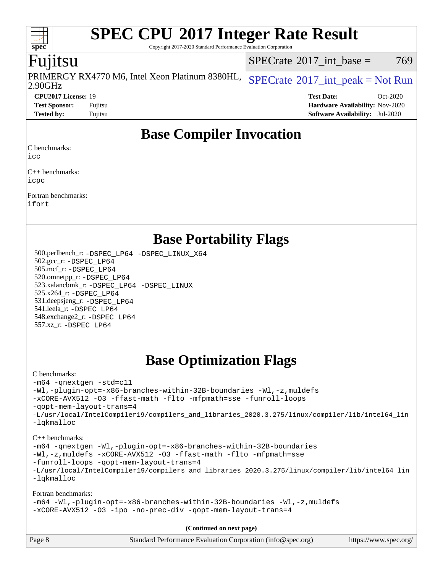Copyright 2017-2020 Standard Performance Evaluation Corporation

## Fujitsu

**[spec](http://www.spec.org/)**

2.90GHz PRIMERGY RX4770 M6, Intel Xeon Platinum 8380HL,  $SPECrate^{\circ}2017\_int\_peak = Not Run$  $SPECrate^{\circ}2017\_int\_peak = Not Run$ 

[SPECrate](http://www.spec.org/auto/cpu2017/Docs/result-fields.html#SPECrate2017intbase)<sup>®</sup>2017 int base = 769

**[CPU2017 License:](http://www.spec.org/auto/cpu2017/Docs/result-fields.html#CPU2017License)** 19 **[Test Date:](http://www.spec.org/auto/cpu2017/Docs/result-fields.html#TestDate)** Oct-2020 **[Test Sponsor:](http://www.spec.org/auto/cpu2017/Docs/result-fields.html#TestSponsor)** Fujitsu **[Hardware Availability:](http://www.spec.org/auto/cpu2017/Docs/result-fields.html#HardwareAvailability)** Nov-2020 **[Tested by:](http://www.spec.org/auto/cpu2017/Docs/result-fields.html#Testedby)** Fujitsu **[Software Availability:](http://www.spec.org/auto/cpu2017/Docs/result-fields.html#SoftwareAvailability)** Jul-2020

## **[Base Compiler Invocation](http://www.spec.org/auto/cpu2017/Docs/result-fields.html#BaseCompilerInvocation)**

[C benchmarks:](http://www.spec.org/auto/cpu2017/Docs/result-fields.html#Cbenchmarks)

[icc](http://www.spec.org/cpu2017/results/res2020q4/cpu2017-20201027-24315.flags.html#user_CCbase_intel_icc_66fc1ee009f7361af1fbd72ca7dcefbb700085f36577c54f309893dd4ec40d12360134090235512931783d35fd58c0460139e722d5067c5574d8eaf2b3e37e92)

[C++ benchmarks:](http://www.spec.org/auto/cpu2017/Docs/result-fields.html#CXXbenchmarks) [icpc](http://www.spec.org/cpu2017/results/res2020q4/cpu2017-20201027-24315.flags.html#user_CXXbase_intel_icpc_c510b6838c7f56d33e37e94d029a35b4a7bccf4766a728ee175e80a419847e808290a9b78be685c44ab727ea267ec2f070ec5dc83b407c0218cded6866a35d07)

[Fortran benchmarks](http://www.spec.org/auto/cpu2017/Docs/result-fields.html#Fortranbenchmarks):

[ifort](http://www.spec.org/cpu2017/results/res2020q4/cpu2017-20201027-24315.flags.html#user_FCbase_intel_ifort_8111460550e3ca792625aed983ce982f94888b8b503583aa7ba2b8303487b4d8a21a13e7191a45c5fd58ff318f48f9492884d4413fa793fd88dd292cad7027ca)

## **[Base Portability Flags](http://www.spec.org/auto/cpu2017/Docs/result-fields.html#BasePortabilityFlags)**

 500.perlbench\_r: [-DSPEC\\_LP64](http://www.spec.org/cpu2017/results/res2020q4/cpu2017-20201027-24315.flags.html#b500.perlbench_r_basePORTABILITY_DSPEC_LP64) [-DSPEC\\_LINUX\\_X64](http://www.spec.org/cpu2017/results/res2020q4/cpu2017-20201027-24315.flags.html#b500.perlbench_r_baseCPORTABILITY_DSPEC_LINUX_X64) 502.gcc\_r: [-DSPEC\\_LP64](http://www.spec.org/cpu2017/results/res2020q4/cpu2017-20201027-24315.flags.html#suite_basePORTABILITY502_gcc_r_DSPEC_LP64) 505.mcf\_r: [-DSPEC\\_LP64](http://www.spec.org/cpu2017/results/res2020q4/cpu2017-20201027-24315.flags.html#suite_basePORTABILITY505_mcf_r_DSPEC_LP64) 520.omnetpp\_r: [-DSPEC\\_LP64](http://www.spec.org/cpu2017/results/res2020q4/cpu2017-20201027-24315.flags.html#suite_basePORTABILITY520_omnetpp_r_DSPEC_LP64) 523.xalancbmk\_r: [-DSPEC\\_LP64](http://www.spec.org/cpu2017/results/res2020q4/cpu2017-20201027-24315.flags.html#suite_basePORTABILITY523_xalancbmk_r_DSPEC_LP64) [-DSPEC\\_LINUX](http://www.spec.org/cpu2017/results/res2020q4/cpu2017-20201027-24315.flags.html#b523.xalancbmk_r_baseCXXPORTABILITY_DSPEC_LINUX) 525.x264\_r: [-DSPEC\\_LP64](http://www.spec.org/cpu2017/results/res2020q4/cpu2017-20201027-24315.flags.html#suite_basePORTABILITY525_x264_r_DSPEC_LP64) 531.deepsjeng\_r: [-DSPEC\\_LP64](http://www.spec.org/cpu2017/results/res2020q4/cpu2017-20201027-24315.flags.html#suite_basePORTABILITY531_deepsjeng_r_DSPEC_LP64) 541.leela\_r: [-DSPEC\\_LP64](http://www.spec.org/cpu2017/results/res2020q4/cpu2017-20201027-24315.flags.html#suite_basePORTABILITY541_leela_r_DSPEC_LP64) 548.exchange2\_r: [-DSPEC\\_LP64](http://www.spec.org/cpu2017/results/res2020q4/cpu2017-20201027-24315.flags.html#suite_basePORTABILITY548_exchange2_r_DSPEC_LP64) 557.xz\_r: [-DSPEC\\_LP64](http://www.spec.org/cpu2017/results/res2020q4/cpu2017-20201027-24315.flags.html#suite_basePORTABILITY557_xz_r_DSPEC_LP64)

## **[Base Optimization Flags](http://www.spec.org/auto/cpu2017/Docs/result-fields.html#BaseOptimizationFlags)**

### [C benchmarks](http://www.spec.org/auto/cpu2017/Docs/result-fields.html#Cbenchmarks):

[-m64](http://www.spec.org/cpu2017/results/res2020q4/cpu2017-20201027-24315.flags.html#user_CCbase_m64-icc) [-qnextgen](http://www.spec.org/cpu2017/results/res2020q4/cpu2017-20201027-24315.flags.html#user_CCbase_f-qnextgen) [-std=c11](http://www.spec.org/cpu2017/results/res2020q4/cpu2017-20201027-24315.flags.html#user_CCbase_std-icc-std_0e1c27790398a4642dfca32ffe6c27b5796f9c2d2676156f2e42c9c44eaad0c049b1cdb667a270c34d979996257aeb8fc440bfb01818dbc9357bd9d174cb8524) [-Wl,-plugin-opt=-x86-branches-within-32B-boundaries](http://www.spec.org/cpu2017/results/res2020q4/cpu2017-20201027-24315.flags.html#user_CCbase_f-x86-branches-within-32B-boundaries_0098b4e4317ae60947b7b728078a624952a08ac37a3c797dfb4ffeb399e0c61a9dd0f2f44ce917e9361fb9076ccb15e7824594512dd315205382d84209e912f3) [-Wl,-z,muldefs](http://www.spec.org/cpu2017/results/res2020q4/cpu2017-20201027-24315.flags.html#user_CCbase_link_force_multiple1_b4cbdb97b34bdee9ceefcfe54f4c8ea74255f0b02a4b23e853cdb0e18eb4525ac79b5a88067c842dd0ee6996c24547a27a4b99331201badda8798ef8a743f577) [-xCORE-AVX512](http://www.spec.org/cpu2017/results/res2020q4/cpu2017-20201027-24315.flags.html#user_CCbase_f-xCORE-AVX512) [-O3](http://www.spec.org/cpu2017/results/res2020q4/cpu2017-20201027-24315.flags.html#user_CCbase_f-O3) [-ffast-math](http://www.spec.org/cpu2017/results/res2020q4/cpu2017-20201027-24315.flags.html#user_CCbase_f-ffast-math) [-flto](http://www.spec.org/cpu2017/results/res2020q4/cpu2017-20201027-24315.flags.html#user_CCbase_f-flto) [-mfpmath=sse](http://www.spec.org/cpu2017/results/res2020q4/cpu2017-20201027-24315.flags.html#user_CCbase_f-mfpmath_70eb8fac26bde974f8ab713bc9086c5621c0b8d2f6c86f38af0bd7062540daf19db5f3a066d8c6684be05d84c9b6322eb3b5be6619d967835195b93d6c02afa1) [-funroll-loops](http://www.spec.org/cpu2017/results/res2020q4/cpu2017-20201027-24315.flags.html#user_CCbase_f-funroll-loops) [-qopt-mem-layout-trans=4](http://www.spec.org/cpu2017/results/res2020q4/cpu2017-20201027-24315.flags.html#user_CCbase_f-qopt-mem-layout-trans_fa39e755916c150a61361b7846f310bcdf6f04e385ef281cadf3647acec3f0ae266d1a1d22d972a7087a248fd4e6ca390a3634700869573d231a252c784941a8) [-L/usr/local/IntelCompiler19/compilers\\_and\\_libraries\\_2020.3.275/linux/compiler/lib/intel64\\_lin](http://www.spec.org/cpu2017/results/res2020q4/cpu2017-20201027-24315.flags.html#user_CCbase_linkpath_6eb3b1b8be403820338b5b82e7a1c217a861a8962ac718a6253be1483b50620487664a39a847caf560d84a6b8bab7cca33d9f414525a12ede1e9473db34a3d08) [-lqkmalloc](http://www.spec.org/cpu2017/results/res2020q4/cpu2017-20201027-24315.flags.html#user_CCbase_qkmalloc_link_lib_79a818439969f771c6bc311cfd333c00fc099dad35c030f5aab9dda831713d2015205805422f83de8875488a2991c0a156aaa600e1f9138f8fc37004abc96dc5) [C++ benchmarks](http://www.spec.org/auto/cpu2017/Docs/result-fields.html#CXXbenchmarks):

[-m64](http://www.spec.org/cpu2017/results/res2020q4/cpu2017-20201027-24315.flags.html#user_CXXbase_m64-icc) [-qnextgen](http://www.spec.org/cpu2017/results/res2020q4/cpu2017-20201027-24315.flags.html#user_CXXbase_f-qnextgen) [-Wl,-plugin-opt=-x86-branches-within-32B-boundaries](http://www.spec.org/cpu2017/results/res2020q4/cpu2017-20201027-24315.flags.html#user_CXXbase_f-x86-branches-within-32B-boundaries_0098b4e4317ae60947b7b728078a624952a08ac37a3c797dfb4ffeb399e0c61a9dd0f2f44ce917e9361fb9076ccb15e7824594512dd315205382d84209e912f3) [-Wl,-z,muldefs](http://www.spec.org/cpu2017/results/res2020q4/cpu2017-20201027-24315.flags.html#user_CXXbase_link_force_multiple1_b4cbdb97b34bdee9ceefcfe54f4c8ea74255f0b02a4b23e853cdb0e18eb4525ac79b5a88067c842dd0ee6996c24547a27a4b99331201badda8798ef8a743f577) [-xCORE-AVX512](http://www.spec.org/cpu2017/results/res2020q4/cpu2017-20201027-24315.flags.html#user_CXXbase_f-xCORE-AVX512) [-O3](http://www.spec.org/cpu2017/results/res2020q4/cpu2017-20201027-24315.flags.html#user_CXXbase_f-O3) [-ffast-math](http://www.spec.org/cpu2017/results/res2020q4/cpu2017-20201027-24315.flags.html#user_CXXbase_f-ffast-math) [-flto](http://www.spec.org/cpu2017/results/res2020q4/cpu2017-20201027-24315.flags.html#user_CXXbase_f-flto) [-mfpmath=sse](http://www.spec.org/cpu2017/results/res2020q4/cpu2017-20201027-24315.flags.html#user_CXXbase_f-mfpmath_70eb8fac26bde974f8ab713bc9086c5621c0b8d2f6c86f38af0bd7062540daf19db5f3a066d8c6684be05d84c9b6322eb3b5be6619d967835195b93d6c02afa1)

[-funroll-loops](http://www.spec.org/cpu2017/results/res2020q4/cpu2017-20201027-24315.flags.html#user_CXXbase_f-funroll-loops) [-qopt-mem-layout-trans=4](http://www.spec.org/cpu2017/results/res2020q4/cpu2017-20201027-24315.flags.html#user_CXXbase_f-qopt-mem-layout-trans_fa39e755916c150a61361b7846f310bcdf6f04e385ef281cadf3647acec3f0ae266d1a1d22d972a7087a248fd4e6ca390a3634700869573d231a252c784941a8)

[-L/usr/local/IntelCompiler19/compilers\\_and\\_libraries\\_2020.3.275/linux/compiler/lib/intel64\\_lin](http://www.spec.org/cpu2017/results/res2020q4/cpu2017-20201027-24315.flags.html#user_CXXbase_linkpath_6eb3b1b8be403820338b5b82e7a1c217a861a8962ac718a6253be1483b50620487664a39a847caf560d84a6b8bab7cca33d9f414525a12ede1e9473db34a3d08) [-lqkmalloc](http://www.spec.org/cpu2017/results/res2020q4/cpu2017-20201027-24315.flags.html#user_CXXbase_qkmalloc_link_lib_79a818439969f771c6bc311cfd333c00fc099dad35c030f5aab9dda831713d2015205805422f83de8875488a2991c0a156aaa600e1f9138f8fc37004abc96dc5)

[Fortran benchmarks:](http://www.spec.org/auto/cpu2017/Docs/result-fields.html#Fortranbenchmarks)

[-m64](http://www.spec.org/cpu2017/results/res2020q4/cpu2017-20201027-24315.flags.html#user_FCbase_m64-icc) [-Wl,-plugin-opt=-x86-branches-within-32B-boundaries](http://www.spec.org/cpu2017/results/res2020q4/cpu2017-20201027-24315.flags.html#user_FCbase_f-x86-branches-within-32B-boundaries_0098b4e4317ae60947b7b728078a624952a08ac37a3c797dfb4ffeb399e0c61a9dd0f2f44ce917e9361fb9076ccb15e7824594512dd315205382d84209e912f3) [-Wl,-z,muldefs](http://www.spec.org/cpu2017/results/res2020q4/cpu2017-20201027-24315.flags.html#user_FCbase_link_force_multiple1_b4cbdb97b34bdee9ceefcfe54f4c8ea74255f0b02a4b23e853cdb0e18eb4525ac79b5a88067c842dd0ee6996c24547a27a4b99331201badda8798ef8a743f577) [-xCORE-AVX512](http://www.spec.org/cpu2017/results/res2020q4/cpu2017-20201027-24315.flags.html#user_FCbase_f-xCORE-AVX512) [-O3](http://www.spec.org/cpu2017/results/res2020q4/cpu2017-20201027-24315.flags.html#user_FCbase_f-O3) [-ipo](http://www.spec.org/cpu2017/results/res2020q4/cpu2017-20201027-24315.flags.html#user_FCbase_f-ipo) [-no-prec-div](http://www.spec.org/cpu2017/results/res2020q4/cpu2017-20201027-24315.flags.html#user_FCbase_f-no-prec-div) [-qopt-mem-layout-trans=4](http://www.spec.org/cpu2017/results/res2020q4/cpu2017-20201027-24315.flags.html#user_FCbase_f-qopt-mem-layout-trans_fa39e755916c150a61361b7846f310bcdf6f04e385ef281cadf3647acec3f0ae266d1a1d22d972a7087a248fd4e6ca390a3634700869573d231a252c784941a8)

**(Continued on next page)**

| Page 8 | Standard Performance Evaluation Corporation (info@spec.org) | https://www.spec.org/ |
|--------|-------------------------------------------------------------|-----------------------|